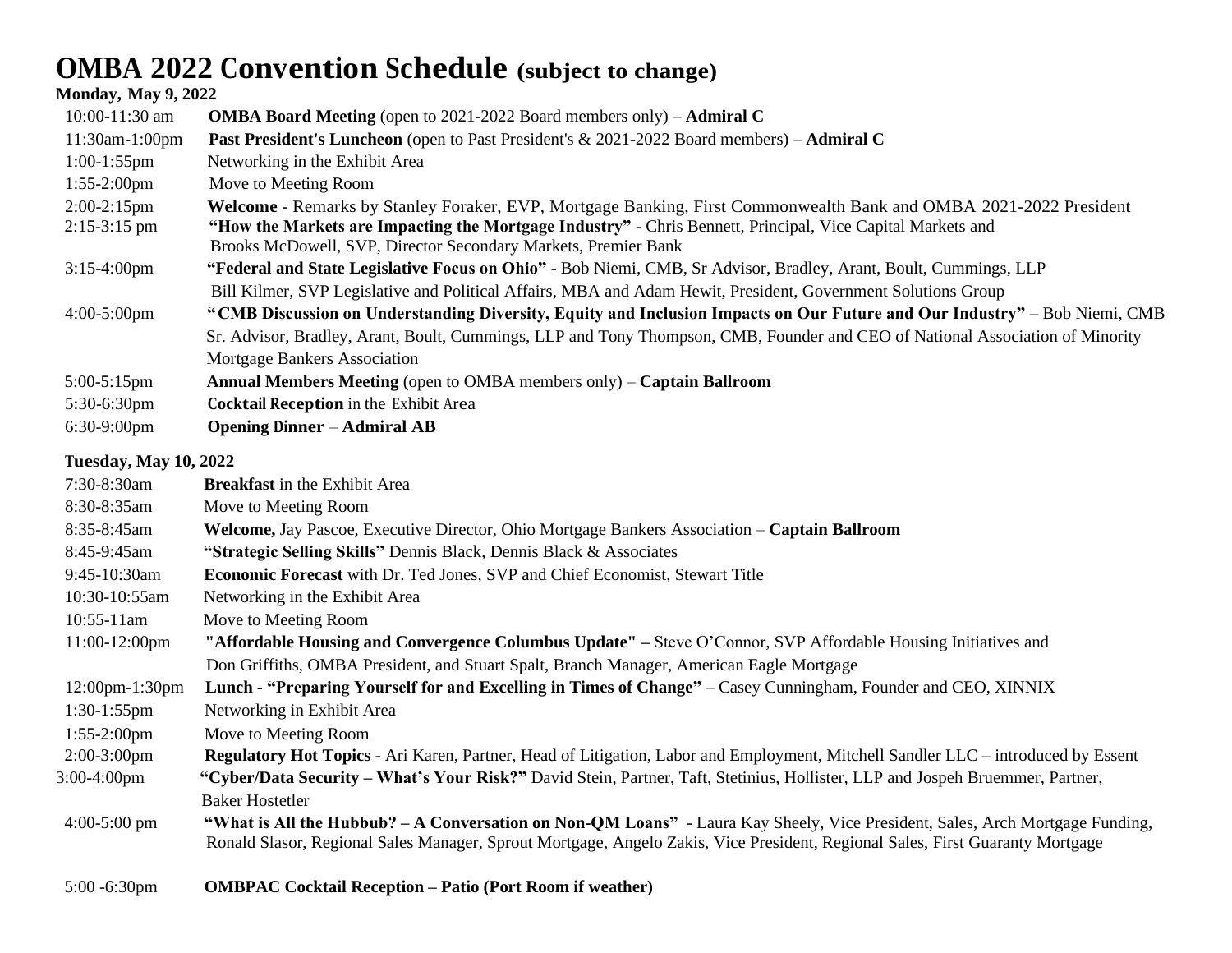## **OMBA 2022 Convention Schedule (subject to change)**

## **Monday, May 9, 2022**

| $10:00 - 11:30$ am               | <b>OMBA Board Meeting</b> (open to 2021-2022 Board members only) – <b>Admiral C</b>                                                                                                                                                                                                               |
|----------------------------------|---------------------------------------------------------------------------------------------------------------------------------------------------------------------------------------------------------------------------------------------------------------------------------------------------|
| $11:30$ am- $1:00$ pm            | Past President's Luncheon (open to Past President's & 2021-2022 Board members) - Admiral C                                                                                                                                                                                                        |
| $1:00-1:55$ pm                   | Networking in the Exhibit Area                                                                                                                                                                                                                                                                    |
| $1:55-2:00 \text{pm}$            | Move to Meeting Room                                                                                                                                                                                                                                                                              |
| $2:00-2:15$ pm<br>$2:15-3:15$ pm | Welcome - Remarks by Stanley Foraker, EVP, Mortgage Banking, First Commonwealth Bank and OMBA 2021-2022 President<br>"How the Markets are Impacting the Mortgage Industry" - Chris Bennett, Principal, Vice Capital Markets and<br>Brooks McDowell, SVP, Director Secondary Markets, Premier Bank |
| $3:15-4:00$ pm                   | "Federal and State Legislative Focus on Ohio" - Bob Niemi, CMB, Sr Advisor, Bradley, Arant, Boult, Cummings, LLP                                                                                                                                                                                  |
|                                  | Bill Kilmer, SVP Legislative and Political Affairs, MBA and Adam Hewit, President, Government Solutions Group                                                                                                                                                                                     |
| $4:00-5:00$ pm                   | "CMB Discussion on Understanding Diversity, Equity and Inclusion Impacts on Our Future and Our Industry" – Bob Niemi, CMB<br>Sr. Advisor, Bradley, Arant, Boult, Cummings, LLP and Tony Thompson, CMB, Founder and CEO of National Association of Minority<br>Mortgage Bankers Association        |
| $5:00-5:15$ pm                   | <b>Annual Members Meeting (open to OMBA members only) – Captain Ballroom</b>                                                                                                                                                                                                                      |
| $5:30-6:30$ pm                   | Cocktail Reception in the Exhibit Area                                                                                                                                                                                                                                                            |
| $6:30-9:00$ pm                   | <b>Opening Dinner – Admiral AB</b>                                                                                                                                                                                                                                                                |

## **Tuesday, May 10, 2022**

| 7:30-8:30am           | <b>Breakfast</b> in the Exhibit Area                                                                                              |
|-----------------------|-----------------------------------------------------------------------------------------------------------------------------------|
| 8:30-8:35am           | Move to Meeting Room                                                                                                              |
| 8:35-8:45am           | Welcome, Jay Pascoe, Executive Director, Ohio Mortgage Bankers Association – Captain Ballroom                                     |
| 8:45-9:45am           | "Strategic Selling Skills" Dennis Black, Dennis Black & Associates                                                                |
| 9:45-10:30am          | <b>Economic Forecast</b> with Dr. Ted Jones, SVP and Chief Economist, Stewart Title                                               |
| 10:30-10:55am         | Networking in the Exhibit Area                                                                                                    |
| $10:55-11am$          | Move to Meeting Room                                                                                                              |
| $11:00-12:00$ pm      | "Affordable Housing and Convergence Columbus Update" - Steve O'Connor, SVP Affordable Housing Initiatives and                     |
|                       | Don Griffiths, OMBA President, and Stuart Spalt, Branch Manager, American Eagle Mortgage                                          |
| $12:00$ pm- $1:30$ pm | Lunch - "Preparing Yourself for and Excelling in Times of Change" - Casey Cunningham, Founder and CEO, XINNIX                     |
| $1:30-1:55$ pm        | Networking in Exhibit Area                                                                                                        |
| $1:55-2:00 \text{pm}$ | Move to Meeting Room                                                                                                              |
| $2:00-3:00$ pm        | Regulatory Hot Topics - Ari Karen, Partner, Head of Litigation, Labor and Employment, Mitchell Sandler LLC - introduced by Essent |
| 3:00-4:00pm           | "Cyber/Data Security - What's Your Risk?" David Stein, Partner, Taft, Stetinius, Hollister, LLP and Jospeh Bruemmer, Partner,     |
|                       | <b>Baker Hostetler</b>                                                                                                            |
| $4:00-5:00$ pm        | "What is All the Hubbub? - A Conversation on Non-QM Loans" - Laura Kay Sheely, Vice President, Sales, Arch Mortgage Funding,      |
|                       | Ronald Slasor, Regional Sales Manager, Sprout Mortgage, Angelo Zakis, Vice President, Regional Sales, First Guaranty Mortgage     |
|                       |                                                                                                                                   |